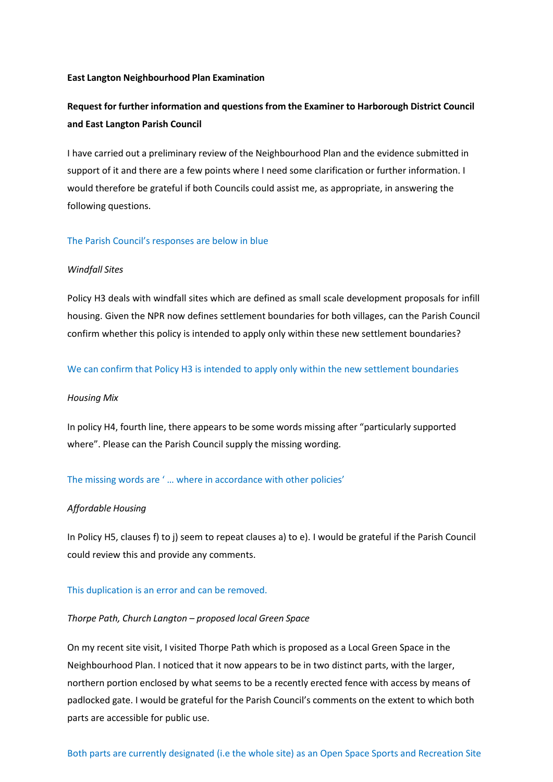## **East Langton Neighbourhood Plan Examination**

# **Request for further information and questions from the Examiner to Harborough District Council and East Langton Parish Council**

I have carried out a preliminary review of the Neighbourhood Plan and the evidence submitted in support of it and there are a few points where I need some clarification or further information. I would therefore be grateful if both Councils could assist me, as appropriate, in answering the following questions.

## The Parish Council's responses are below in blue

## *Windfall Sites*

Policy H3 deals with windfall sites which are defined as small scale development proposals for infill housing. Given the NPR now defines settlement boundaries for both villages, can the Parish Council confirm whether this policy is intended to apply only within these new settlement boundaries?

## We can confirm that Policy H3 is intended to apply only within the new settlement boundaries

#### *Housing Mix*

In policy H4, fourth line, there appears to be some words missing after "particularly supported where". Please can the Parish Council supply the missing wording.

## The missing words are ' … where in accordance with other policies'

#### *Affordable Housing*

In Policy H5, clauses f) to j) seem to repeat clauses a) to e). I would be grateful if the Parish Council could review this and provide any comments.

## This duplication is an error and can be removed.

## *Thorpe Path, Church Langton – proposed local Green Space*

On my recent site visit, I visited Thorpe Path which is proposed as a Local Green Space in the Neighbourhood Plan. I noticed that it now appears to be in two distinct parts, with the larger, northern portion enclosed by what seems to be a recently erected fence with access by means of padlocked gate. I would be grateful for the Parish Council's comments on the extent to which both parts are accessible for public use.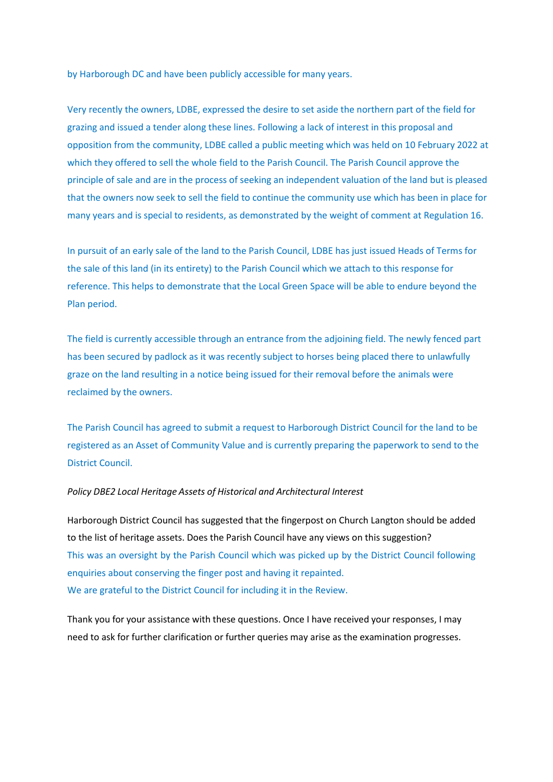by Harborough DC and have been publicly accessible for many years.

Very recently the owners, LDBE, expressed the desire to set aside the northern part of the field for grazing and issued a tender along these lines. Following a lack of interest in this proposal and opposition from the community, LDBE called a public meeting which was held on 10 February 2022 at which they offered to sell the whole field to the Parish Council. The Parish Council approve the principle of sale and are in the process of seeking an independent valuation of the land but is pleased that the owners now seek to sell the field to continue the community use which has been in place for many years and is special to residents, as demonstrated by the weight of comment at Regulation 16.

In pursuit of an early sale of the land to the Parish Council, LDBE has just issued Heads of Terms for the sale of this land (in its entirety) to the Parish Council which we attach to this response for reference. This helps to demonstrate that the Local Green Space will be able to endure beyond the Plan period.

The field is currently accessible through an entrance from the adjoining field. The newly fenced part has been secured by padlock as it was recently subject to horses being placed there to unlawfully graze on the land resulting in a notice being issued for their removal before the animals were reclaimed by the owners.

The Parish Council has agreed to submit a request to Harborough District Council for the land to be registered as an Asset of Community Value and is currently preparing the paperwork to send to the District Council.

## *Policy DBE2 Local Heritage Assets of Historical and Architectural Interest*

Harborough District Council has suggested that the fingerpost on Church Langton should be added to the list of heritage assets. Does the Parish Council have any views on this suggestion? This was an oversight by the Parish Council which was picked up by the District Council following enquiries about conserving the finger post and having it repainted. We are grateful to the District Council for including it in the Review.

Thank you for your assistance with these questions. Once I have received your responses, I may need to ask for further clarification or further queries may arise as the examination progresses.